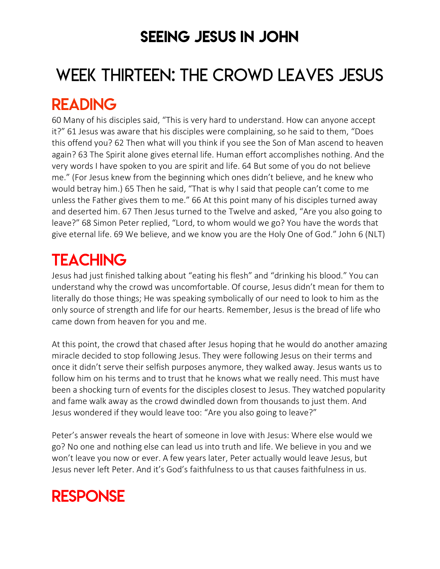### SEEING JESUS IN JOHN

# WEEK THIRTEEN: THE CROWD LEAVES JESUS

### READING

60 Many of his disciples said, "This is very hard to understand. How can anyone accept it?" 61 Jesus was aware that his disciples were complaining, so he said to them, "Does this offend you? 62 Then what will you think if you see the Son of Man ascend to heaven again? 63 The Spirit alone gives eternal life. Human effort accomplishes nothing. And the very words I have spoken to you are spirit and life. 64 But some of you do not believe me." (For Jesus knew from the beginning which ones didn't believe, and he knew who would betray him.) 65 Then he said, "That is why I said that people can't come to me unless the Father gives them to me." 66 At this point many of his disciples turned away and deserted him. 67 Then Jesus turned to the Twelve and asked, "Are you also going to leave?" 68 Simon Peter replied, "Lord, to whom would we go? You have the words that give eternal life. 69 We believe, and we know you are the Holy One of God." John 6 (NLT)

# **TEACHING**

Jesus had just finished talking about "eating his flesh" and "drinking his blood." You can understand why the crowd was uncomfortable. Of course, Jesus didn't mean for them to literally do those things; He was speaking symbolically of our need to look to him as the only source of strength and life for our hearts. Remember, Jesus is the bread of life who came down from heaven for you and me.

At this point, the crowd that chased after Jesus hoping that he would do another amazing miracle decided to stop following Jesus. They were following Jesus on their terms and once it didn't serve their selfish purposes anymore, they walked away. Jesus wants us to follow him on his terms and to trust that he knows what we really need. This must have been a shocking turn of events for the disciples closest to Jesus. They watched popularity and fame walk away as the crowd dwindled down from thousands to just them. And Jesus wondered if they would leave too: "Are you also going to leave?"

Peter's answer reveals the heart of someone in love with Jesus: Where else would we go? No one and nothing else can lead us into truth and life. We believe in you and we won't leave you now or ever. A few years later, Peter actually would leave Jesus, but Jesus never left Peter. And it's God's faithfulness to us that causes faithfulness in us.

### **RESPONSE**